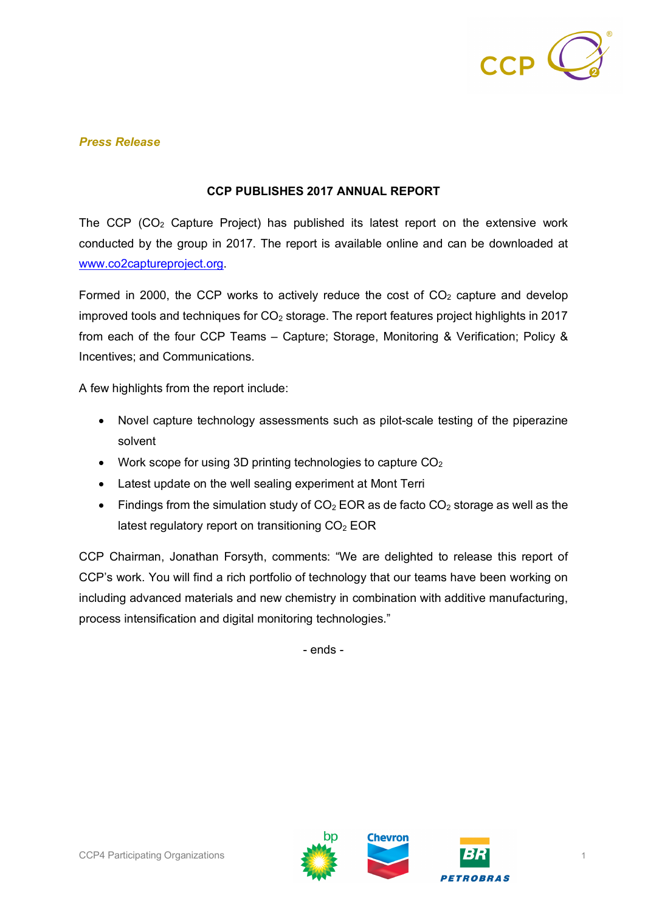

## *Press Release*

## **CCP PUBLISHES 2017 ANNUAL REPORT**

The CCP (CO2 Capture Project) has published its latest report on the extensive work conducted by the group in 2017. The report is available online and can be downloaded at www.co2captureproject.org.

Formed in 2000, the CCP works to actively reduce the cost of  $CO<sub>2</sub>$  capture and develop improved tools and techniques for  $CO<sub>2</sub>$  storage. The report features project highlights in 2017 from each of the four CCP Teams – Capture; Storage, Monitoring & Verification; Policy & Incentives; and Communications.

A few highlights from the report include:

- Novel capture technology assessments such as pilot-scale testing of the piperazine solvent
- Work scope for using 3D printing technologies to capture  $CO<sub>2</sub>$
- Latest update on the well sealing experiment at Mont Terri
- Findings from the simulation study of  $CO<sub>2</sub>$  EOR as de facto  $CO<sub>2</sub>$  storage as well as the latest regulatory report on transitioning  $CO<sub>2</sub> EOR$

CCP Chairman, Jonathan Forsyth, comments: "We are delighted to release this report of CCP's work. You will find a rich portfolio of technology that our teams have been working on including advanced materials and new chemistry in combination with additive manufacturing, process intensification and digital monitoring technologies."

- ends -